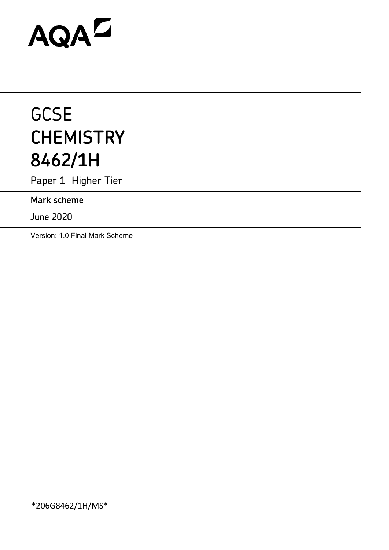# AQAZ

# **GCSE CHEMISTRY 8462/1H**

Paper 1 Higher Tier

**Mark scheme**

June 2020

Version: 1.0 Final Mark Scheme

\*206G8462/1H/MS\*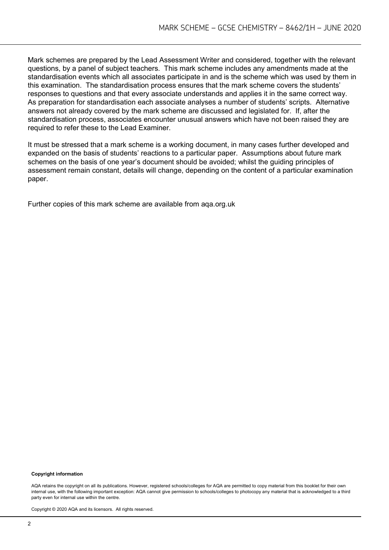Mark schemes are prepared by the Lead Assessment Writer and considered, together with the relevant questions, by a panel of subject teachers. This mark scheme includes any amendments made at the standardisation events which all associates participate in and is the scheme which was used by them in this examination. The standardisation process ensures that the mark scheme covers the students' responses to questions and that every associate understands and applies it in the same correct way. As preparation for standardisation each associate analyses a number of students' scripts. Alternative answers not already covered by the mark scheme are discussed and legislated for. If, after the standardisation process, associates encounter unusual answers which have not been raised they are required to refer these to the Lead Examiner.

It must be stressed that a mark scheme is a working document, in many cases further developed and expanded on the basis of students' reactions to a particular paper. Assumptions about future mark schemes on the basis of one year's document should be avoided; whilst the guiding principles of assessment remain constant, details will change, depending on the content of a particular examination paper.

Further copies of this mark scheme are available from aqa.org.uk

#### **Copyright information**

AQA retains the copyright on all its publications. However, registered schools/colleges for AQA are permitted to copy material from this booklet for their own internal use, with the following important exception: AQA cannot give permission to schools/colleges to photocopy any material that is acknowledged to a third party even for internal use within the centre.

Copyright © 2020 AQA and its licensors. All rights reserved.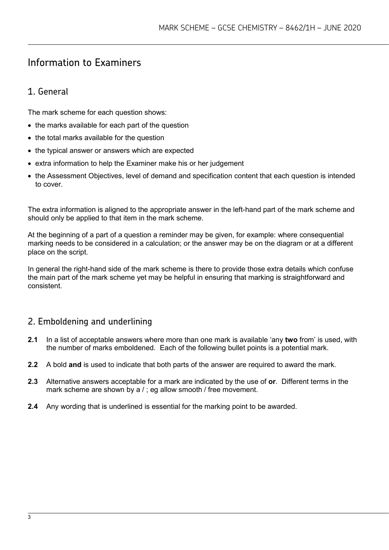# Information to Examiners

# 1. General

The mark scheme for each question shows:

- the marks available for each part of the question
- the total marks available for the question
- the typical answer or answers which are expected
- extra information to help the Examiner make his or her judgement
- the Assessment Objectives, level of demand and specification content that each question is intended to cover.

The extra information is aligned to the appropriate answer in the left-hand part of the mark scheme and should only be applied to that item in the mark scheme.

At the beginning of a part of a question a reminder may be given, for example: where consequential marking needs to be considered in a calculation; or the answer may be on the diagram or at a different place on the script.

In general the right-hand side of the mark scheme is there to provide those extra details which confuse the main part of the mark scheme yet may be helpful in ensuring that marking is straightforward and consistent.

# 2. Emboldening and underlining

- **2.1** In a list of acceptable answers where more than one mark is available 'any **two** from' is used, with the number of marks emboldened. Each of the following bullet points is a potential mark.
- **2.2** A bold **and** is used to indicate that both parts of the answer are required to award the mark.
- **2.3** Alternative answers acceptable for a mark are indicated by the use of **or**. Different terms in the mark scheme are shown by a / ; eg allow smooth / free movement.
- **2.4** Any wording that is underlined is essential for the marking point to be awarded.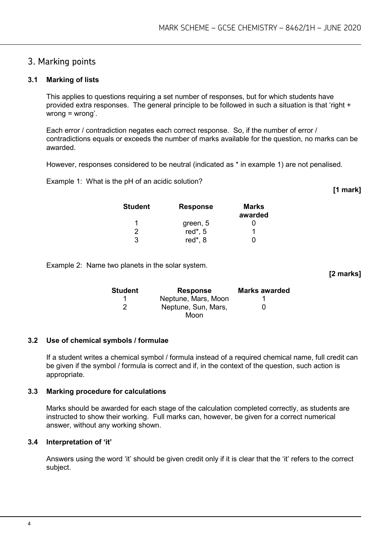# 3. Marking points

#### **3.1 Marking of lists**

This applies to questions requiring a set number of responses, but for which students have provided extra responses. The general principle to be followed in such a situation is that 'right + wrong = wrong'.

Each error / contradiction negates each correct response. So, if the number of error / contradictions equals or exceeds the number of marks available for the question, no marks can be awarded.

However, responses considered to be neutral (indicated as \* in example 1) are not penalised.

Example 1: What is the pH of an acidic solution?

**[1 mark]**

**[2 marks]**

| <b>Student</b> | <b>Response</b> | Marks<br>awarded |
|----------------|-----------------|------------------|
| 1              | green, 5        |                  |
| 2              | red $*$ , 5     |                  |
| 3              | red*, 8         |                  |

Example 2: Name two planets in the solar system.

**Student Response Marks awarded** 1 **Neptune, Mars, Moon** 1 2 Neptune, Sun, Mars, Moon  $\Omega$ 

#### **3.2 Use of chemical symbols / formulae**

If a student writes a chemical symbol / formula instead of a required chemical name, full credit can be given if the symbol / formula is correct and if, in the context of the question, such action is appropriate.

#### **3.3 Marking procedure for calculations**

Marks should be awarded for each stage of the calculation completed correctly, as students are instructed to show their working. Full marks can, however, be given for a correct numerical answer, without any working shown.

#### **3.4 Interpretation of 'it'**

Answers using the word 'it' should be given credit only if it is clear that the 'it' refers to the correct subject.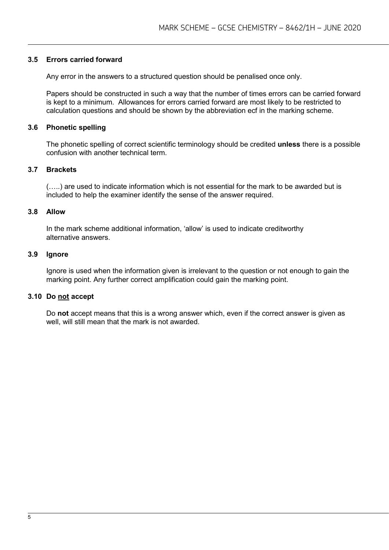#### **3.5 Errors carried forward**

Any error in the answers to a structured question should be penalised once only.

Papers should be constructed in such a way that the number of times errors can be carried forward is kept to a minimum. Allowances for errors carried forward are most likely to be restricted to calculation questions and should be shown by the abbreviation ecf in the marking scheme.

#### **3.6 Phonetic spelling**

The phonetic spelling of correct scientific terminology should be credited **unless** there is a possible confusion with another technical term.

#### **3.7 Brackets**

(…..) are used to indicate information which is not essential for the mark to be awarded but is included to help the examiner identify the sense of the answer required.

#### **3.8 Allow**

In the mark scheme additional information, 'allow' is used to indicate creditworthy alternative answers.

#### **3.9 Ignore**

Ignore is used when the information given is irrelevant to the question or not enough to gain the marking point. Any further correct amplification could gain the marking point.

#### **3.10 Do not accept**

Do **not** accept means that this is a wrong answer which, even if the correct answer is given as well, will still mean that the mark is not awarded.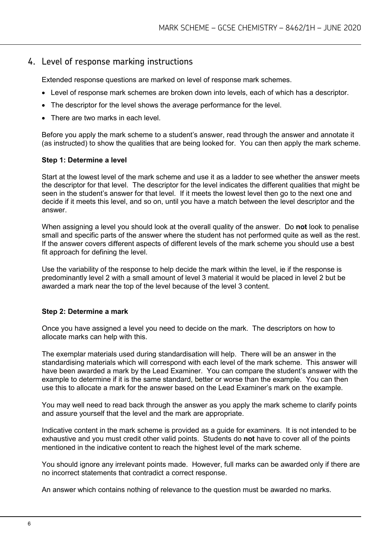#### 4. Level of response marking instructions

Extended response questions are marked on level of response mark schemes.

- Level of response mark schemes are broken down into levels, each of which has a descriptor.
- The descriptor for the level shows the average performance for the level.
- There are two marks in each level

Before you apply the mark scheme to a student's answer, read through the answer and annotate it (as instructed) to show the qualities that are being looked for. You can then apply the mark scheme.

#### **Step 1: Determine a level**

Start at the lowest level of the mark scheme and use it as a ladder to see whether the answer meets the descriptor for that level. The descriptor for the level indicates the different qualities that might be seen in the student's answer for that level. If it meets the lowest level then go to the next one and decide if it meets this level, and so on, until you have a match between the level descriptor and the answer.

When assigning a level you should look at the overall quality of the answer. Do **not** look to penalise small and specific parts of the answer where the student has not performed quite as well as the rest. If the answer covers different aspects of different levels of the mark scheme you should use a best fit approach for defining the level.

Use the variability of the response to help decide the mark within the level, ie if the response is predominantly level 2 with a small amount of level 3 material it would be placed in level 2 but be awarded a mark near the top of the level because of the level 3 content.

#### **Step 2: Determine a mark**

Once you have assigned a level you need to decide on the mark. The descriptors on how to allocate marks can help with this.

The exemplar materials used during standardisation will help. There will be an answer in the standardising materials which will correspond with each level of the mark scheme. This answer will have been awarded a mark by the Lead Examiner. You can compare the student's answer with the example to determine if it is the same standard, better or worse than the example. You can then use this to allocate a mark for the answer based on the Lead Examiner's mark on the example.

You may well need to read back through the answer as you apply the mark scheme to clarify points and assure yourself that the level and the mark are appropriate.

Indicative content in the mark scheme is provided as a guide for examiners. It is not intended to be exhaustive and you must credit other valid points. Students do **not** have to cover all of the points mentioned in the indicative content to reach the highest level of the mark scheme.

You should ignore any irrelevant points made. However, full marks can be awarded only if there are no incorrect statements that contradict a correct response.

An answer which contains nothing of relevance to the question must be awarded no marks.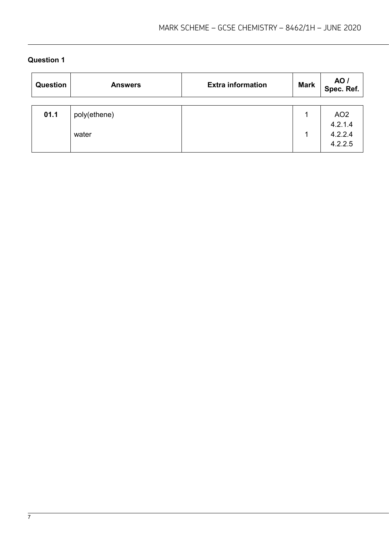| Question | <b>Answers</b>        | <b>Extra information</b> | <b>Mark</b> | AO /<br>Spec. Ref.                               |
|----------|-----------------------|--------------------------|-------------|--------------------------------------------------|
| 01.1     | poly(ethene)<br>water |                          |             | AO <sub>2</sub><br>4.2.1.4<br>4.2.2.4<br>4.2.2.5 |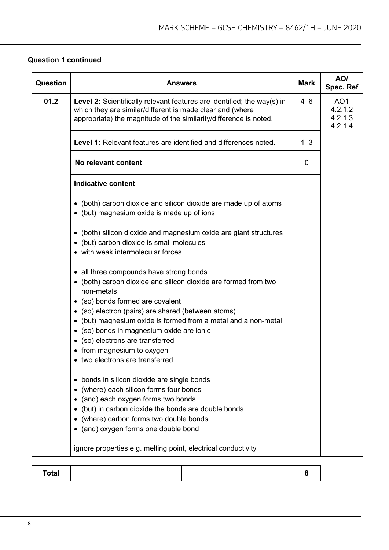## **Question 1 continued**

| <b>Question</b> | <b>Answers</b>                                                                                                                                                                                                                                                          | <b>Mark</b> | AO/<br>Spec. Ref                                 |
|-----------------|-------------------------------------------------------------------------------------------------------------------------------------------------------------------------------------------------------------------------------------------------------------------------|-------------|--------------------------------------------------|
| 01.2            | <b>Level 2:</b> Scientifically relevant features are identified; the way(s) in<br>which they are similar/different is made clear and (where<br>appropriate) the magnitude of the similarity/difference is noted.                                                        | $4 - 6$     | AO <sub>1</sub><br>4.2.1.2<br>4.2.1.3<br>4.2.1.4 |
|                 | <b>Level 1:</b> Relevant features are identified and differences noted.                                                                                                                                                                                                 | $1 - 3$     |                                                  |
|                 | No relevant content                                                                                                                                                                                                                                                     | 0           |                                                  |
|                 | <b>Indicative content</b>                                                                                                                                                                                                                                               |             |                                                  |
|                 | • (both) carbon dioxide and silicon dioxide are made up of atoms<br>• (but) magnesium oxide is made up of ions                                                                                                                                                          |             |                                                  |
|                 | • (both) silicon dioxide and magnesium oxide are giant structures<br>• (but) carbon dioxide is small molecules<br>• with weak intermolecular forces                                                                                                                     |             |                                                  |
|                 | • all three compounds have strong bonds<br>• (both) carbon dioxide and silicon dioxide are formed from two<br>non-metals                                                                                                                                                |             |                                                  |
|                 | • (so) bonds formed are covalent<br>• (so) electron (pairs) are shared (between atoms)<br>• (but) magnesium oxide is formed from a metal and a non-metal<br>• (so) bonds in magnesium oxide are ionic<br>• (so) electrons are transferred<br>• from magnesium to oxygen |             |                                                  |
|                 | • two electrons are transferred                                                                                                                                                                                                                                         |             |                                                  |
|                 | • bonds in silicon dioxide are single bonds<br>(where) each silicon forms four bonds<br>(and) each oxygen forms two bonds<br>(but) in carbon dioxide the bonds are double bonds<br>(where) carbon forms two double bonds<br>• (and) oxygen forms one double bond        |             |                                                  |
|                 | ignore properties e.g. melting point, electrical conductivity                                                                                                                                                                                                           |             |                                                  |

|--|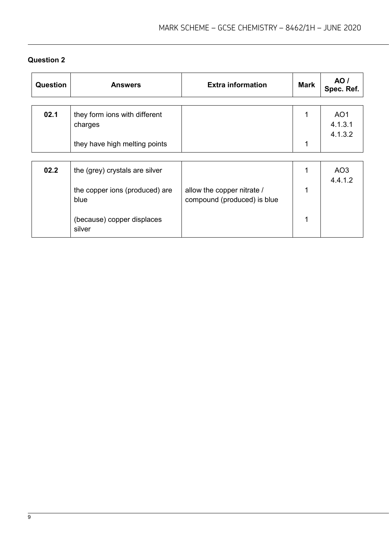| Question | <b>Answers</b>                           | <b>Extra information</b>                                  | <b>Mark</b> | AO /<br>Spec. Ref.                    |
|----------|------------------------------------------|-----------------------------------------------------------|-------------|---------------------------------------|
| 02.1     | they form ions with different<br>charges |                                                           | 1           | AO <sub>1</sub><br>4.1.3.1<br>4.1.3.2 |
|          | they have high melting points            |                                                           | 1           |                                       |
| 02.2     | the (grey) crystals are silver           |                                                           |             | AO <sub>3</sub><br>4.4.1.2            |
|          | the copper ions (produced) are<br>blue   | allow the copper nitrate /<br>compound (produced) is blue | 1           |                                       |
|          | (because) copper displaces<br>silver     |                                                           |             |                                       |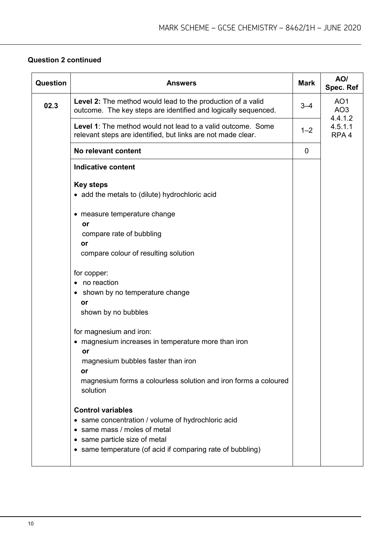#### **Question 2 continued**

| Question | <b>Answers</b>                                                                                                                                                                                                  | <b>Mark</b> | AO/<br>Spec. Ref                              |
|----------|-----------------------------------------------------------------------------------------------------------------------------------------------------------------------------------------------------------------|-------------|-----------------------------------------------|
| 02.3     | Level 2: The method would lead to the production of a valid<br>outcome. The key steps are identified and logically sequenced.                                                                                   | $3 - 4$     | AO <sub>1</sub><br>AO <sub>3</sub><br>4.4.1.2 |
|          | <b>Level 1:</b> The method would not lead to a valid outcome. Some<br>relevant steps are identified, but links are not made clear.                                                                              | $1 - 2$     | 4.5.1.1<br>RPA <sub>4</sub>                   |
|          | No relevant content                                                                                                                                                                                             | $\mathbf 0$ |                                               |
|          | <b>Indicative content</b>                                                                                                                                                                                       |             |                                               |
|          | <b>Key steps</b><br>• add the metals to (dilute) hydrochloric acid                                                                                                                                              |             |                                               |
|          | • measure temperature change<br>or<br>compare rate of bubbling<br>or<br>compare colour of resulting solution                                                                                                    |             |                                               |
|          | for copper:<br>• no reaction<br>• shown by no temperature change<br>or<br>shown by no bubbles                                                                                                                   |             |                                               |
|          | for magnesium and iron:<br>• magnesium increases in temperature more than iron<br>or<br>magnesium bubbles faster than iron<br>or<br>magnesium forms a colourless solution and iron forms a coloured<br>solution |             |                                               |
|          | <b>Control variables</b><br>• same concentration / volume of hydrochloric acid<br>• same mass / moles of metal<br>• same particle size of metal<br>• same temperature (of acid if comparing rate of bubbling)   |             |                                               |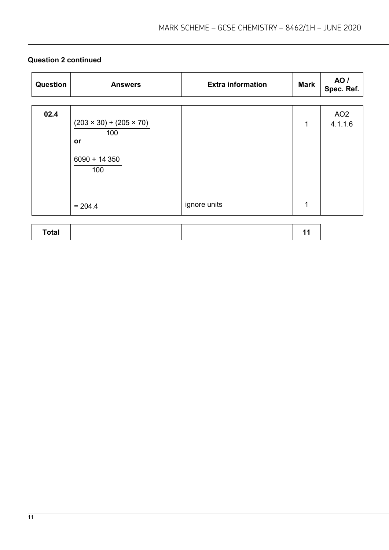# **Question 2 continued**

| Question     | <b>Answers</b>                                                            | <b>Extra information</b> | <b>Mark</b> | AO /<br>Spec. Ref.         |
|--------------|---------------------------------------------------------------------------|--------------------------|-------------|----------------------------|
| 02.4         | $(203 \times 30) + (205 \times 70)$<br>100<br>or<br>$6090 + 14350$<br>100 | ignore units             | 1<br>1      | AO <sub>2</sub><br>4.1.1.6 |
|              | $= 204.4$                                                                 |                          |             |                            |
| <b>Total</b> |                                                                           |                          | 11          |                            |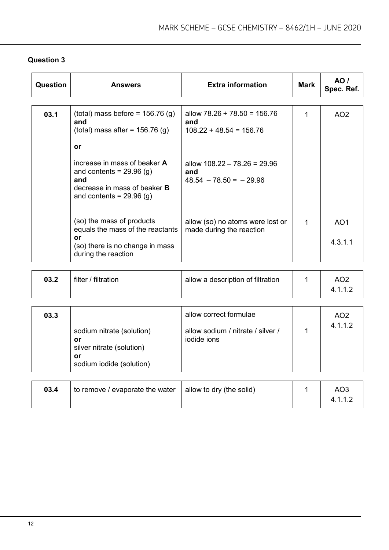| Question | <b>Answers</b>                                                                                                                                | <b>Extra information</b>                                           | <b>Mark</b> | AO /<br>Spec. Ref.         |
|----------|-----------------------------------------------------------------------------------------------------------------------------------------------|--------------------------------------------------------------------|-------------|----------------------------|
|          |                                                                                                                                               |                                                                    |             |                            |
| 03.1     | (total) mass before = $156.76$ (g)<br>and<br>(total) mass after = $156.76$ (g)                                                                | allow $78.26 + 78.50 = 156.76$<br>and<br>$108.22 + 48.54 = 156.76$ |             | AO <sub>2</sub>            |
|          | or                                                                                                                                            |                                                                    |             |                            |
|          | increase in mass of beaker <b>A</b><br>and contents = $29.96$ (g)<br>and<br>decrease in mass of beaker <b>B</b><br>and contents = $29.96$ (g) | allow $108.22 - 78.26 = 29.96$<br>and<br>$48.54 - 78.50 = -29.96$  |             |                            |
|          | (so) the mass of products<br>equals the mass of the reactants<br>or<br>(so) there is no change in mass<br>during the reaction                 | allow (so) no atoms were lost or<br>made during the reaction       | 1           | AO <sub>1</sub><br>4.3.1.1 |

| 03.2 | filter / filtration | allow a description of filtration | AO2 |
|------|---------------------|-----------------------------------|-----|
|      |                     |                                   |     |

| 03.3 | sodium nitrate (solution)<br>or<br>silver nitrate (solution)<br>or<br>sodium iodide (solution) | allow correct formulae<br>allow sodium / nitrate / silver /<br>jodide jons | AO <sub>2</sub><br>4.1.1.2 |
|------|------------------------------------------------------------------------------------------------|----------------------------------------------------------------------------|----------------------------|
| 03.4 | to remove / evaporate the water                                                                | allow to dry (the solid)                                                   | AO <sub>3</sub><br>4.1.1.2 |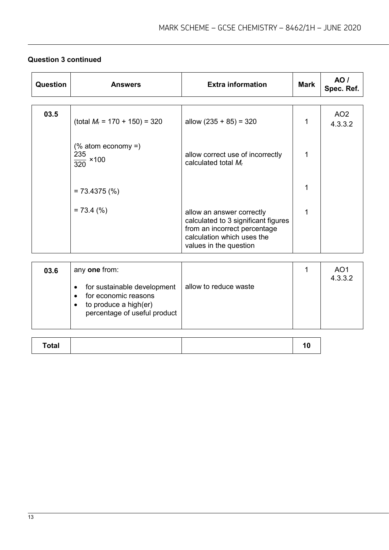# **Question 3 continued**

| Question | <b>Answers</b>                                       | <b>Extra information</b>                                                                                                                                 | <b>Mark</b> | AO /<br>Spec. Ref.          |
|----------|------------------------------------------------------|----------------------------------------------------------------------------------------------------------------------------------------------------------|-------------|-----------------------------|
| 03.5     | (total $M_r$ = 170 + 150) = 320                      | allow $(235 + 85) = 320$                                                                                                                                 |             | AO <sub>2</sub><br>4.3.3.2  |
|          | $%$ atom economy =)<br>235<br>$\frac{12}{320}$ × 100 | allow correct use of incorrectly<br>calculated total $M_r$                                                                                               |             |                             |
|          | $= 73.4375 (%)$                                      |                                                                                                                                                          |             |                             |
|          | $= 73.4$ (%)                                         | allow an answer correctly<br>calculated to 3 significant figures<br>from an incorrect percentage<br>calculation which uses the<br>values in the question | 1           |                             |
|          |                                                      |                                                                                                                                                          |             |                             |
| 03.6     | any one from:                                        |                                                                                                                                                          |             | AO1<br>$\sim$ $\sim$ $\sim$ |

| 03.6 | any one from:                                                                                                     |                       | AO1<br>4.3.3.2 |
|------|-------------------------------------------------------------------------------------------------------------------|-----------------------|----------------|
|      | for sustainable development<br>for economic reasons<br>to produce a high(er)<br>٠<br>percentage of useful product | allow to reduce waste |                |

| Total |  |
|-------|--|
|-------|--|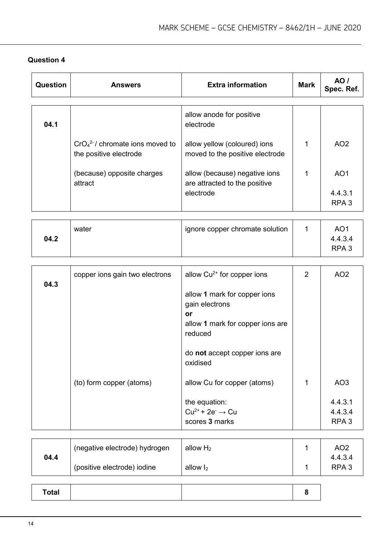| <b>Question</b> | <b>Answers</b>                                             | <b>Extra information</b>                                                                                                             | <b>Mark</b>    | <b>AO</b> /<br>Spec. Ref.                      |
|-----------------|------------------------------------------------------------|--------------------------------------------------------------------------------------------------------------------------------------|----------------|------------------------------------------------|
| 04.1            |                                                            | allow anode for positive<br>electrode                                                                                                |                |                                                |
|                 | $CrO42-/$ chromate ions moved to<br>the positive electrode | allow yellow (coloured) ions<br>moved to the positive electrode                                                                      | 1              | AO <sub>2</sub>                                |
|                 | (because) opposite charges<br>attract                      | allow (because) negative ions<br>are attracted to the positive                                                                       | 1              | AO <sub>1</sub>                                |
|                 |                                                            | electrode                                                                                                                            |                | 4.4.3.1<br>RPA <sub>3</sub>                    |
| 04.2            | water                                                      | ignore copper chromate solution                                                                                                      | 1              | AO <sub>1</sub><br>4.4.3.4<br>RPA <sub>3</sub> |
|                 | copper ions gain two electrons                             | allow Cu <sup>2+</sup> for copper ions                                                                                               | $\overline{2}$ | AO <sub>2</sub>                                |
| 04.3            |                                                            | allow 1 mark for copper ions<br>gain electrons<br>or<br>allow 1 mark for copper ions are<br>reduced<br>do not accept copper ions are |                |                                                |
|                 |                                                            | oxidised                                                                                                                             |                |                                                |
|                 | (to) form copper (atoms)                                   | allow Cu for copper (atoms)                                                                                                          | 1              | AO <sub>3</sub>                                |
|                 |                                                            | the equation:<br>$Cu^{2+}$ + 2e <sup>-</sup> $\rightarrow$ Cu<br>scores 3 marks                                                      |                | 4.4.3.1<br>4.4.3.4<br>RPA <sub>3</sub>         |
|                 | (negative electrode) hydrogen                              | allow $H_2$                                                                                                                          | 1              | AO <sub>2</sub>                                |
| 04.4            | (positive electrode) iodine                                | allow $I_2$                                                                                                                          | 1              | 4.4.3.4<br>RPA <sub>3</sub>                    |
| <b>Total</b>    |                                                            |                                                                                                                                      | 8              |                                                |
|                 |                                                            |                                                                                                                                      |                |                                                |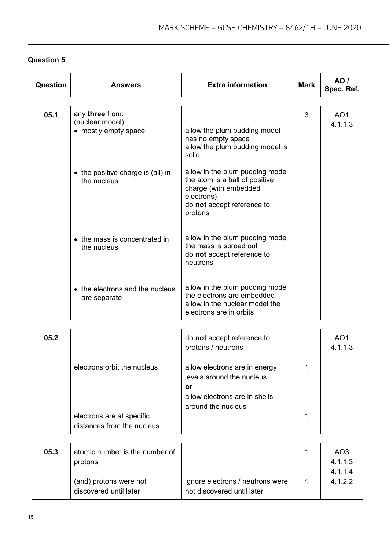| Question | <b>Answers</b>                                             | <b>Extra information</b>                                                                                                                          | <b>Mark</b> | AO/<br>Spec. Ref.                     |
|----------|------------------------------------------------------------|---------------------------------------------------------------------------------------------------------------------------------------------------|-------------|---------------------------------------|
| 05.1     | any three from:<br>(nuclear model)<br>• mostly empty space | allow the plum pudding model<br>has no empty space<br>allow the plum pudding model is<br>solid                                                    | 3           | AO <sub>1</sub><br>4.1.1.3            |
|          | • the positive charge is (all) in<br>the nucleus           | allow in the plum pudding model<br>the atom is a ball of positive<br>charge (with embedded<br>electrons)<br>do not accept reference to<br>protons |             |                                       |
|          | • the mass is concentrated in<br>the nucleus               | allow in the plum pudding model<br>the mass is spread out<br>do not accept reference to<br>neutrons                                               |             |                                       |
|          | • the electrons and the nucleus<br>are separate            | allow in the plum pudding model<br>the electrons are embedded<br>allow in the nuclear model the<br>electrons are in orbits                        |             |                                       |
| 05.2     |                                                            | do not accept reference to<br>protons / neutrons                                                                                                  |             | AO <sub>1</sub><br>4.1.1.3            |
|          | electrons orbit the nucleus                                | allow electrons are in energy<br>levels around the nucleus<br>or<br>allow electrons are in shells                                                 | 1           |                                       |
|          | electrons are at specific<br>distances from the nucleus    | around the nucleus                                                                                                                                | 1           |                                       |
|          |                                                            |                                                                                                                                                   |             |                                       |
| 05.3     | atomic number is the number of<br>protons                  |                                                                                                                                                   | 1           | AO <sub>3</sub><br>4.1.1.3<br>4.1.1.4 |
|          | (and) protons were not<br>discovered until later           | ignore electrons / neutrons were<br>not discovered until later                                                                                    | 1           | 4.1.2.2                               |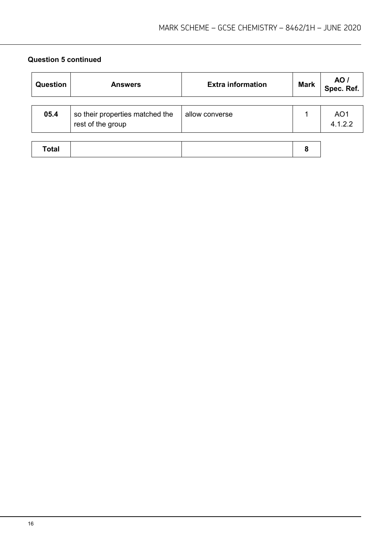#### **Question 5 continued**

| <b>Question</b> | <b>Answers</b>                                       | <b>Extra information</b> | <b>Mark</b> | <b>AO</b> /<br>Spec. Ref.  |
|-----------------|------------------------------------------------------|--------------------------|-------------|----------------------------|
| 05.4            | so their properties matched the<br>rest of the group | allow converse           |             | AO <sub>1</sub><br>4.1.2.2 |
| <b>Total</b>    |                                                      |                          | 8           |                            |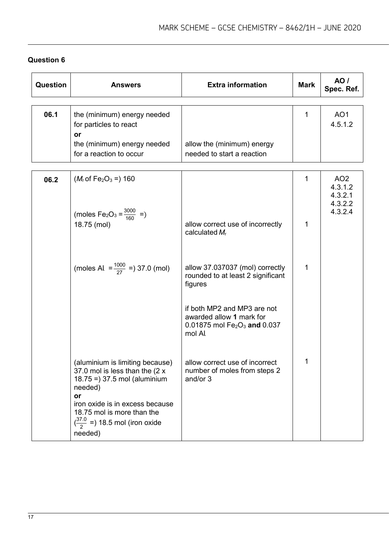| Question | <b>Answers</b>                                                                                                                                                                                                                                          | <b>Extra information</b>                                                                                                    | <b>Mark</b>  | <b>AO</b> /<br>Spec. Ref.                                   |
|----------|---------------------------------------------------------------------------------------------------------------------------------------------------------------------------------------------------------------------------------------------------------|-----------------------------------------------------------------------------------------------------------------------------|--------------|-------------------------------------------------------------|
| 06.1     | the (minimum) energy needed<br>for particles to react<br>or<br>the (minimum) energy needed<br>for a reaction to occur                                                                                                                                   | allow the (minimum) energy<br>needed to start a reaction                                                                    | $\mathbf 1$  | AO <sub>1</sub><br>4.5.1.2                                  |
| 06.2     | $(M_r$ of Fe <sub>2</sub> O <sub>3</sub> =) 160<br>(moles $Fe_2O_3 = \frac{3000}{160} =$ )                                                                                                                                                              |                                                                                                                             | $\mathbf{1}$ | AO <sub>2</sub><br>4.3.1.2<br>4.3.2.1<br>4.3.2.2<br>4.3.2.4 |
|          | 18.75 (mol)                                                                                                                                                                                                                                             | allow correct use of incorrectly<br>calculated $M_r$                                                                        | 1            |                                                             |
|          | (moles Al $=\frac{1000}{27}$ =) 37.0 (mol)                                                                                                                                                                                                              | allow 37.037037 (mol) correctly<br>rounded to at least 2 significant<br>figures                                             | 1            |                                                             |
|          |                                                                                                                                                                                                                                                         | if both MP2 and MP3 are not<br>awarded allow 1 mark for<br>$0.01875$ mol Fe <sub>2</sub> O <sub>3</sub> and 0.037<br>mol Al |              |                                                             |
|          | (aluminium is limiting because)<br>37.0 mol is less than the (2 x<br>$18.75 = 37.5$ mol (aluminium<br>needed)<br>or<br>iron oxide is in excess because<br>18.75 mol is more than the<br>$\left(\frac{37.0}{2}\right)$ = 18.5 mol (iron oxide<br>needed) | allow correct use of incorrect<br>number of moles from steps 2<br>and/or 3                                                  |              |                                                             |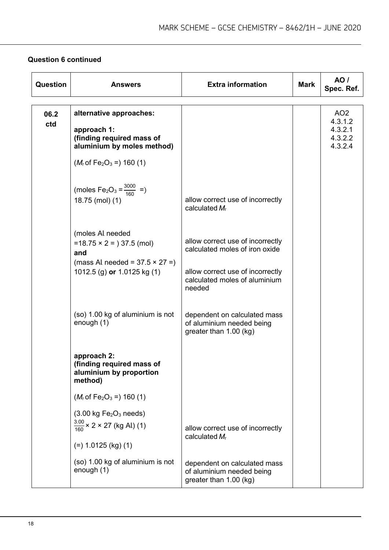## **Question 6 continued**

| Question    | <b>Answers</b>                                                                                                                                          | <b>Extra information</b>                                                                                                                          | <b>Mark</b> | AO /<br>Spec. Ref.                                          |
|-------------|---------------------------------------------------------------------------------------------------------------------------------------------------------|---------------------------------------------------------------------------------------------------------------------------------------------------|-------------|-------------------------------------------------------------|
| 06.2<br>ctd | alternative approaches:<br>approach 1:<br>(finding required mass of<br>aluminium by moles method)<br>$(M_r$ of Fe <sub>2</sub> O <sub>3</sub> = 160 (1) |                                                                                                                                                   |             | AO <sub>2</sub><br>4.3.1.2<br>4.3.2.1<br>4.3.2.2<br>4.3.2.4 |
|             | (moles Fe <sub>2</sub> O <sub>3</sub> = $\frac{3000}{160}$ =)<br>18.75 (mol) (1)                                                                        | allow correct use of incorrectly<br>calculated $M_r$                                                                                              |             |                                                             |
|             | (moles Al needed<br>$=18.75 \times 2 = 37.5$ (mol)<br>and<br>(mass Al needed = $37.5 \times 27 =$ )<br>1012.5 (g) or $1.0125$ kg (1)                    | allow correct use of incorrectly<br>calculated moles of iron oxide<br>allow correct use of incorrectly<br>calculated moles of aluminium<br>needed |             |                                                             |
|             | (so) 1.00 kg of aluminium is not<br>enough (1)                                                                                                          | dependent on calculated mass<br>of aluminium needed being<br>greater than 1.00 (kg)                                                               |             |                                                             |
|             | approach 2:<br>(finding required mass of<br>aluminium by proportion<br>method)                                                                          |                                                                                                                                                   |             |                                                             |
|             | $(M_r$ of Fe <sub>2</sub> O <sub>3</sub> = 160 (1)                                                                                                      |                                                                                                                                                   |             |                                                             |
|             | $(3.00 \text{ kg Fe}_2O_3 \text{ needs})$<br>$\frac{3.00}{160}$ × 2 × 27 (kg Al) (1)<br>$(=) 1.0125$ (kg) (1)                                           | allow correct use of incorrectly<br>calculated $M_r$                                                                                              |             |                                                             |
|             | (so) 1.00 kg of aluminium is not<br>enough (1)                                                                                                          | dependent on calculated mass<br>of aluminium needed being<br>greater than 1.00 (kg)                                                               |             |                                                             |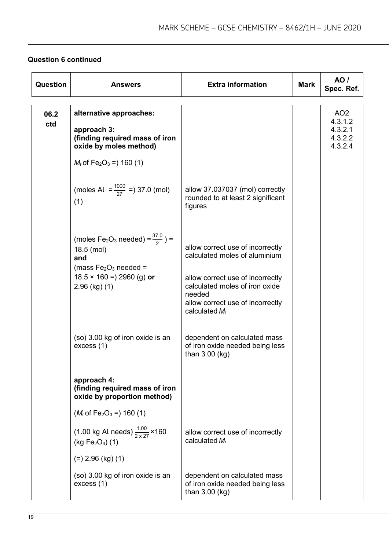# **Question 6 continued**

| <b>Question</b> | <b>Answers</b>                                                                                                                                                              | <b>Extra information</b>                                                                                                                                                                                  | <b>Mark</b> | AO /<br>Spec. Ref.                                          |
|-----------------|-----------------------------------------------------------------------------------------------------------------------------------------------------------------------------|-----------------------------------------------------------------------------------------------------------------------------------------------------------------------------------------------------------|-------------|-------------------------------------------------------------|
| 06.2<br>ctd     | alternative approaches:<br>approach 3:<br>(finding required mass of iron<br>oxide by moles method)<br>$M_r$ of Fe <sub>2</sub> O <sub>3</sub> = $160(1)$                    |                                                                                                                                                                                                           |             | AO <sub>2</sub><br>4.3.1.2<br>4.3.2.1<br>4.3.2.2<br>4.3.2.4 |
|                 | (moles Al $=\frac{1000}{27}$ =) 37.0 (mol)<br>(1)                                                                                                                           | allow 37.037037 (mol) correctly<br>rounded to at least 2 significant<br>figures                                                                                                                           |             |                                                             |
|                 | (moles Fe <sub>2</sub> O <sub>3</sub> needed) = $\frac{37.0}{2}$ ) =<br>18.5 (mol)<br>and<br>(mass $Fe2O3 needed =$<br>$18.5 \times 160 = 2960$ (g) or<br>$2.96$ (kg) $(1)$ | allow correct use of incorrectly<br>calculated moles of aluminium<br>allow correct use of incorrectly<br>calculated moles of iron oxide<br>needed<br>allow correct use of incorrectly<br>calculated $M_r$ |             |                                                             |
|                 | (so) 3.00 kg of iron oxide is an<br>excess (1)                                                                                                                              | dependent on calculated mass<br>of iron oxide needed being less<br>than $3.00$ (kg)                                                                                                                       |             |                                                             |
|                 | approach 4:<br>(finding required mass of iron<br>oxide by proportion method)                                                                                                |                                                                                                                                                                                                           |             |                                                             |
|                 | $(Mr$ of Fe <sub>2</sub> O <sub>3</sub> = 160 (1)                                                                                                                           |                                                                                                                                                                                                           |             |                                                             |
|                 | (1.00 kg Al needs) $\frac{1.00}{2 \times 27}$ × 160<br>$(kg Fe2O3)$ (1)                                                                                                     | allow correct use of incorrectly<br>calculated $M_r$                                                                                                                                                      |             |                                                             |
|                 | $(=) 2.96$ (kg) (1)                                                                                                                                                         |                                                                                                                                                                                                           |             |                                                             |
|                 | (so) 3.00 kg of iron oxide is an<br>excess (1)                                                                                                                              | dependent on calculated mass<br>of iron oxide needed being less<br>than 3.00 (kg)                                                                                                                         |             |                                                             |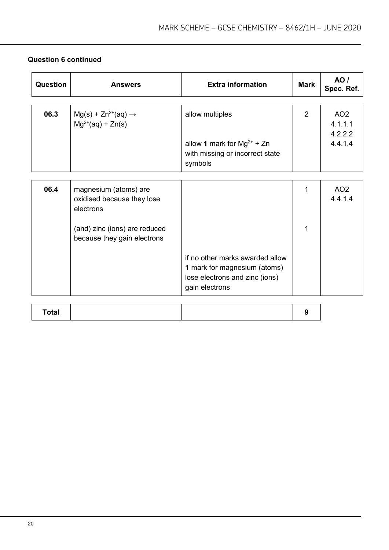| Question | <b>Answers</b>                                                   | <b>Extra information</b>                                                                                                   | <b>Mark</b>    | AO/<br>Spec. Ref.                     |
|----------|------------------------------------------------------------------|----------------------------------------------------------------------------------------------------------------------------|----------------|---------------------------------------|
|          |                                                                  |                                                                                                                            |                |                                       |
| 06.3     | $Mg(s) + Zn^{2+}(aq) \rightarrow$<br>$Mg^{2+}(aq) + Zn(s)$       | allow multiples                                                                                                            | $\overline{2}$ | AO <sub>2</sub><br>4.1.1.1<br>4.2.2.2 |
|          |                                                                  | allow 1 mark for $Mg^{2+}$ + Zn<br>with missing or incorrect state<br>symbols                                              |                | 4.4.1.4                               |
|          |                                                                  |                                                                                                                            |                |                                       |
| 06.4     | magnesium (atoms) are<br>oxidised because they lose<br>electrons |                                                                                                                            |                | AO <sub>2</sub><br>4.4.1.4            |
|          | (and) zinc (ions) are reduced<br>because they gain electrons     |                                                                                                                            | 1              |                                       |
|          |                                                                  | if no other marks awarded allow<br><b>1</b> mark for magnesium (atoms)<br>lose electrons and zinc (ions)<br>gain electrons |                |                                       |

#### **Question 6 continued**

| Total |
|-------|
|-------|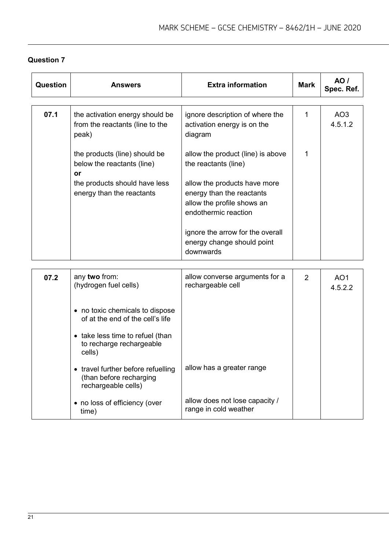| <b>Question</b> | <b>Answers</b>                                                                                                                                                                      | <b>Extra information</b>                                                                                        | <b>Mark</b>    | AO/<br>Spec. Ref.          |
|-----------------|-------------------------------------------------------------------------------------------------------------------------------------------------------------------------------------|-----------------------------------------------------------------------------------------------------------------|----------------|----------------------------|
| 07.1            | the activation energy should be<br>from the reactants (line to the<br>peak)                                                                                                         | ignore description of where the<br>activation energy is on the<br>diagram                                       | $\mathbf{1}$   | AO <sub>3</sub><br>4.5.1.2 |
|                 | the products (line) should be<br>below the reactants (line)<br>or                                                                                                                   | allow the product (line) is above<br>the reactants (line)                                                       | $\mathbf{1}$   |                            |
|                 | the products should have less<br>energy than the reactants                                                                                                                          | allow the products have more<br>energy than the reactants<br>allow the profile shows an<br>endothermic reaction |                |                            |
|                 |                                                                                                                                                                                     | ignore the arrow for the overall<br>energy change should point<br>downwards                                     |                |                            |
| 07.2            | any two from:<br>(hydrogen fuel cells)                                                                                                                                              | allow converse arguments for a<br>rechargeable cell                                                             | $\overline{2}$ | AO <sub>1</sub><br>4.5.2.2 |
|                 | • no toxic chemicals to dispose<br>of at the end of the cell's life<br>• take less time to refuel (than<br>to recharge rechargeable<br>cells)<br>• travel further before refuelling | allow has a greater range                                                                                       |                |                            |
|                 | (than before recharging<br>rechargeable cells)                                                                                                                                      |                                                                                                                 |                |                            |
|                 | • no loss of efficiency (over<br>time)                                                                                                                                              | allow does not lose capacity /<br>range in cold weather                                                         |                |                            |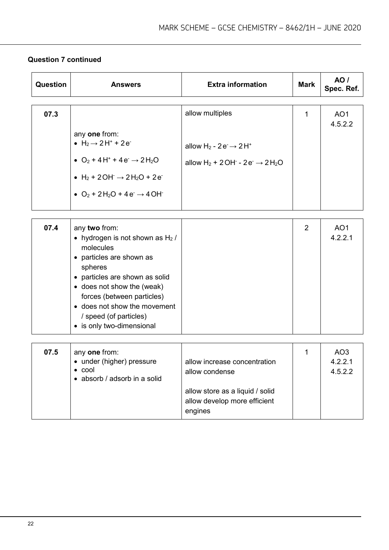# **Question 7 continued**

| Question | <b>Answers</b>                                                                                                                                                                                                                                                                               | <b>Extra information</b>                                                                                                          | <b>Mark</b>    | <b>AO</b> /<br>Spec. Ref.             |
|----------|----------------------------------------------------------------------------------------------------------------------------------------------------------------------------------------------------------------------------------------------------------------------------------------------|-----------------------------------------------------------------------------------------------------------------------------------|----------------|---------------------------------------|
| 07.3     | any one from:<br>• $H_2 \rightarrow 2H^+ + 2e^-$<br>• $O_2$ + 4 H <sup>+</sup> + 4 e <sup>-</sup> $\rightarrow$ 2 H <sub>2</sub> O<br>• $H_2$ + 2 OH $\rightarrow$ 2 H <sub>2</sub> O + 2 e<br>• $O_2$ + 2H <sub>2</sub> O + 4 e <sup>-</sup> $\rightarrow$ 4 OH <sup>-</sup>                | allow multiples<br>allow H <sub>2</sub> - $2e^ \rightarrow$ $2H^+$<br>allow $H_2$ + 2 OH $-$ 2 e $\rightarrow$ 2 H <sub>2</sub> O | 1              | AO <sub>1</sub><br>4.5.2.2            |
| 07.4     | any two from:<br>• hydrogen is not shown as $H_2$ /<br>molecules<br>• particles are shown as<br>spheres<br>• particles are shown as solid<br>• does not show the (weak)<br>forces (between particles)<br>• does not show the movement<br>/ speed (of particles)<br>• is only two-dimensional |                                                                                                                                   | $\overline{2}$ | AO <sub>1</sub><br>4.2.2.1            |
| 07.5     | any one from:<br>• under (higher) pressure<br>$\bullet$ cool<br>• absorb / adsorb in a solid                                                                                                                                                                                                 | allow increase concentration<br>allow condense<br>allow store as a liquid / solid<br>allow develop more efficient<br>engines      | 1              | AO <sub>3</sub><br>4.2.2.1<br>4.5.2.2 |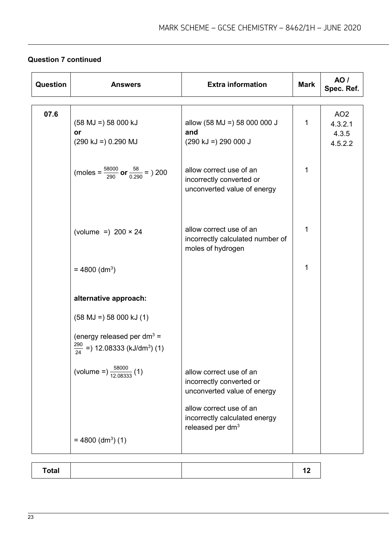# **Question 7 continued**

| Question | <b>Answers</b>                                                                                                                                                        | <b>Extra information</b>                                                                                                                                                       | <b>Mark</b> | <b>AO</b> /<br>Spec. Ref.                      |
|----------|-----------------------------------------------------------------------------------------------------------------------------------------------------------------------|--------------------------------------------------------------------------------------------------------------------------------------------------------------------------------|-------------|------------------------------------------------|
| 07.6     | $(58 \text{ MJ} = 58000 \text{ kJ})$<br>or<br>$(290 \text{ kJ} = 0.290 \text{ MJ})$                                                                                   | allow (58 MJ =) 58 000 000 J<br>and<br>$(290 \text{ kJ} = 290 000 \text{ J}$                                                                                                   | 1           | AO <sub>2</sub><br>4.3.2.1<br>4.3.5<br>4.5.2.2 |
|          | (moles = $\frac{58000}{290}$ or $\frac{58}{0.290}$ = ) 200                                                                                                            | allow correct use of an<br>incorrectly converted or<br>unconverted value of energy                                                                                             | 1           |                                                |
|          | (volume =) $200 \times 24$                                                                                                                                            | allow correct use of an<br>incorrectly calculated number of<br>moles of hydrogen                                                                                               | 1           |                                                |
|          | $= 4800$ (dm <sup>3</sup> )                                                                                                                                           |                                                                                                                                                                                | 1           |                                                |
|          | alternative approach:<br>$(58 \text{ MJ} = 58000 \text{ kJ} (1))$<br>(energy released per dm <sup>3</sup> =<br>$\frac{290}{24}$ =) 12.08333 (kJ/dm <sup>3</sup> ) (1) |                                                                                                                                                                                |             |                                                |
|          | (volume =) $\frac{58000}{12,08333}$ (1)<br>$= 4800$ (dm <sup>3</sup> ) (1)                                                                                            | allow correct use of an<br>incorrectly converted or<br>unconverted value of energy<br>allow correct use of an<br>incorrectly calculated energy<br>released per dm <sup>3</sup> |             |                                                |
|          |                                                                                                                                                                       |                                                                                                                                                                                |             |                                                |

| Total |  |
|-------|--|
|-------|--|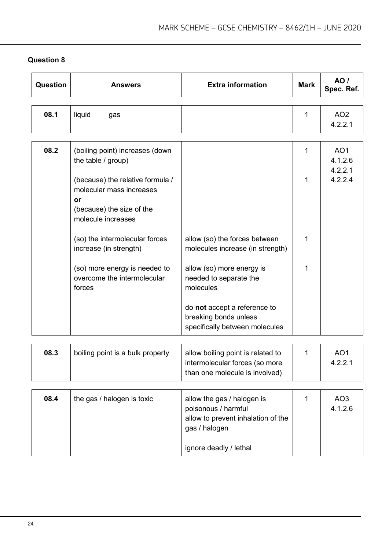| <b>Question</b> | <b>Answers</b>                                                                                                        | <b>Extra information</b>                                                                              | <b>Mark</b> | <b>AO</b> /<br>Spec. Ref.             |
|-----------------|-----------------------------------------------------------------------------------------------------------------------|-------------------------------------------------------------------------------------------------------|-------------|---------------------------------------|
| 08.1            | liquid<br>gas                                                                                                         |                                                                                                       | 1           | AO <sub>2</sub><br>4.2.2.1            |
| 08.2            | (boiling point) increases (down<br>the table / group)                                                                 |                                                                                                       | 1           | AO <sub>1</sub><br>4.1.2.6<br>4.2.2.1 |
|                 | (because) the relative formula /<br>molecular mass increases<br>or<br>(because) the size of the<br>molecule increases |                                                                                                       | $\mathbf 1$ | 4.2.2.4                               |
|                 | (so) the intermolecular forces<br>increase (in strength)                                                              | allow (so) the forces between<br>molecules increase (in strength)                                     | $\mathbf 1$ |                                       |
|                 | (so) more energy is needed to<br>overcome the intermolecular<br>forces                                                | allow (so) more energy is<br>needed to separate the<br>molecules                                      | 1           |                                       |
|                 |                                                                                                                       | do not accept a reference to<br>breaking bonds unless<br>specifically between molecules               |             |                                       |
| 08.3            | boiling point is a bulk property                                                                                      | allow boiling point is related to<br>intermolecular forces (so more<br>than one molecule is involved) | 1           | AO <sub>1</sub><br>4.2.2.1            |
| 08 T            | the age I halogen is toxic                                                                                            | allow the age / halogen is                                                                            | 1.          | $\Lambda$ $\Omega$                    |

| 08.4 | the gas / halogen is toxic | allow the gas / halogen is<br>poisonous / harmful<br>allow to prevent inhalation of the<br>gas / halogen | AO <sub>3</sub><br>4.1.2.6 |
|------|----------------------------|----------------------------------------------------------------------------------------------------------|----------------------------|
|      |                            | ignore deadly / lethal                                                                                   |                            |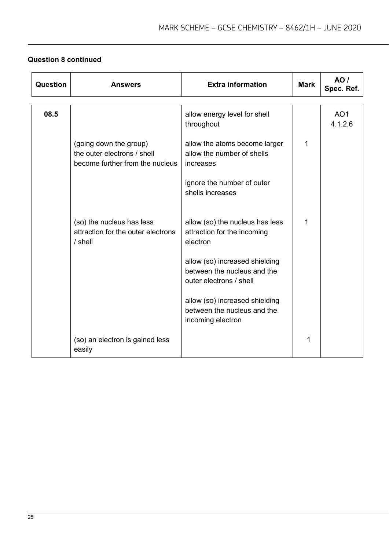# **Question 8 continued**

| <b>Question</b> | <b>Answers</b>                                                                           | <b>Extra information</b>                                                                 | <b>Mark</b> | AO/<br>Spec. Ref.          |
|-----------------|------------------------------------------------------------------------------------------|------------------------------------------------------------------------------------------|-------------|----------------------------|
| 08.5            |                                                                                          | allow energy level for shell<br>throughout                                               |             | AO <sub>1</sub><br>4.1.2.6 |
|                 | (going down the group)<br>the outer electrons / shell<br>become further from the nucleus | allow the atoms become larger<br>allow the number of shells<br>increases                 | 1           |                            |
|                 |                                                                                          | ignore the number of outer<br>shells increases                                           |             |                            |
|                 | (so) the nucleus has less<br>attraction for the outer electrons<br>$/$ shell             | allow (so) the nucleus has less<br>attraction for the incoming<br>electron               | 1           |                            |
|                 |                                                                                          | allow (so) increased shielding<br>between the nucleus and the<br>outer electrons / shell |             |                            |
|                 |                                                                                          | allow (so) increased shielding<br>between the nucleus and the<br>incoming electron       |             |                            |
|                 | (so) an electron is gained less<br>easily                                                |                                                                                          | 1           |                            |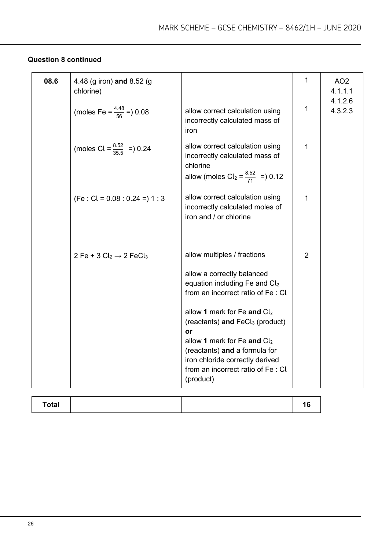# **Question 8 continued**

| 08.6 | 4.48 (g iron) and 8.52 (g<br>chlorine)          |                                                                                                                                                                                                                                                                                                                                                                                | $\mathbf 1$    | AO <sub>2</sub><br>4.1.1.1 |
|------|-------------------------------------------------|--------------------------------------------------------------------------------------------------------------------------------------------------------------------------------------------------------------------------------------------------------------------------------------------------------------------------------------------------------------------------------|----------------|----------------------------|
|      | (moles Fe = $\frac{4.48}{56}$ = 0.08            | allow correct calculation using<br>incorrectly calculated mass of<br>iron                                                                                                                                                                                                                                                                                                      | 1              | 4.1.2.6<br>4.3.2.3         |
|      | (moles Cl = $\frac{8.52}{35.5}$ = 0.24          | allow correct calculation using<br>incorrectly calculated mass of<br>chlorine<br>allow (moles $Cl_2 = \frac{8.52}{71}$ =) 0.12                                                                                                                                                                                                                                                 | 1              |                            |
|      | $(Fe : Cl = 0.08 : 0.24 = 1 : 3$                | allow correct calculation using<br>incorrectly calculated moles of<br>iron and / or chlorine                                                                                                                                                                                                                                                                                   | 1              |                            |
|      | 2 Fe + 3 $Cl_2 \rightarrow 2$ FeCl <sub>3</sub> | allow multiples / fractions<br>allow a correctly balanced<br>equation including Fe and $Cl2$<br>from an incorrect ratio of Fe: Cl<br>allow 1 mark for Fe and $Cl2$<br>(reactants) and FeCl <sub>3</sub> (product)<br>or<br>allow 1 mark for Fe and $Cl2$<br>(reactants) and a formula for<br>iron chloride correctly derived<br>from an incorrect ratio of Fe: Cl<br>(product) | $\overline{2}$ |                            |

| <b>Total</b> |  |
|--------------|--|
|--------------|--|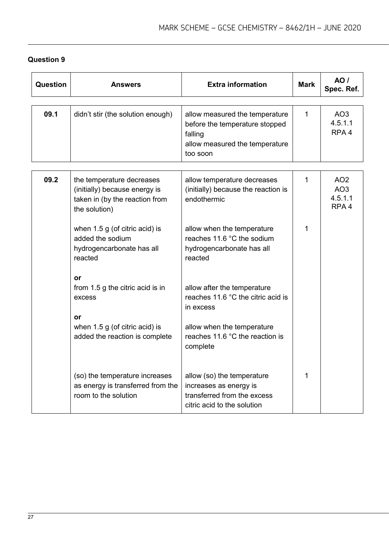| Question | Answers                                                                                                       | <b>Extra information</b>                                                                                                  | <b>Mark</b>  | <b>AO</b> /<br>Spec. Ref.                                         |
|----------|---------------------------------------------------------------------------------------------------------------|---------------------------------------------------------------------------------------------------------------------------|--------------|-------------------------------------------------------------------|
|          |                                                                                                               |                                                                                                                           |              |                                                                   |
| 09.1     | didn't stir (the solution enough)                                                                             | allow measured the temperature<br>before the temperature stopped<br>falling<br>allow measured the temperature<br>too soon | $\mathbf{1}$ | AO <sub>3</sub><br>4.5.1.1<br>RPA <sub>4</sub>                    |
|          |                                                                                                               |                                                                                                                           |              |                                                                   |
| 09.2     | the temperature decreases<br>(initially) because energy is<br>taken in (by the reaction from<br>the solution) | allow temperature decreases<br>(initially) because the reaction is<br>endothermic                                         | 1            | AO <sub>2</sub><br>AO <sub>3</sub><br>4.5.1.1<br>RPA <sub>4</sub> |
|          | when 1.5 g (of citric acid) is<br>added the sodium<br>hydrogencarbonate has all<br>reacted                    | allow when the temperature<br>reaches 11.6 °C the sodium<br>hydrogencarbonate has all<br>reacted                          | 1            |                                                                   |
|          | or<br>from 1.5 g the citric acid is in<br>excess<br>or                                                        | allow after the temperature<br>reaches 11.6 °C the citric acid is<br>in excess                                            |              |                                                                   |
|          | when 1.5 g (of citric acid) is<br>added the reaction is complete                                              | allow when the temperature<br>reaches 11.6 °C the reaction is<br>complete                                                 |              |                                                                   |
|          | (so) the temperature increases<br>as energy is transferred from the<br>room to the solution                   | allow (so) the temperature<br>increases as energy is<br>transferred from the excess<br>citric acid to the solution        | 1            |                                                                   |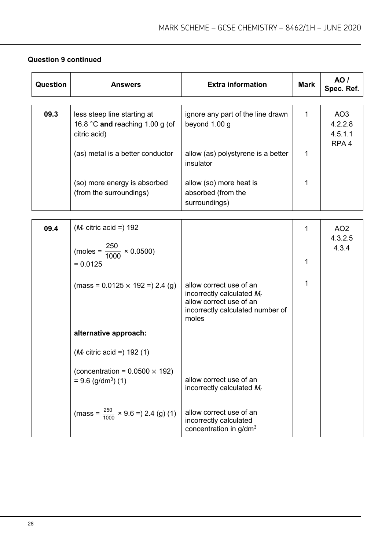| Question | <b>Answers</b>                                                                 | <b>Extra information</b>                                                                                                        | <b>Mark</b>  | <b>AO</b> /<br>Spec. Ref.                                 |
|----------|--------------------------------------------------------------------------------|---------------------------------------------------------------------------------------------------------------------------------|--------------|-----------------------------------------------------------|
| 09.3     | less steep line starting at<br>16.8 °C and reaching 1.00 g (of<br>citric acid) | ignore any part of the line drawn<br>beyond 1.00 g                                                                              | $\mathbf{1}$ | AO <sub>3</sub><br>4.2.2.8<br>4.5.1.1<br>RPA <sub>4</sub> |
|          | (as) metal is a better conductor                                               | allow (as) polystyrene is a better<br>insulator                                                                                 | 1            |                                                           |
|          | (so) more energy is absorbed<br>(from the surroundings)                        | allow (so) more heat is<br>absorbed (from the<br>surroundings)                                                                  | 1            |                                                           |
|          |                                                                                |                                                                                                                                 |              |                                                           |
| 09.4     | $(M_r$ citric acid =) 192                                                      |                                                                                                                                 | 1            | AO <sub>2</sub>                                           |
|          |                                                                                |                                                                                                                                 |              | 4.3.2.5                                                   |
|          | (moles = $\frac{250}{1000} \times 0.0500$ )                                    |                                                                                                                                 |              | 4.3.4                                                     |
|          | $= 0.0125$                                                                     |                                                                                                                                 | 1            |                                                           |
|          |                                                                                |                                                                                                                                 |              |                                                           |
|          | $(mass = 0.0125 \times 192 = 2.4$ (g)                                          | allow correct use of an<br>incorrectly calculated $M_r$<br>allow correct use of an<br>incorrectly calculated number of<br>moles | 1            |                                                           |
|          | alternative approach:                                                          |                                                                                                                                 |              |                                                           |
|          | $(M_r \text{ citric acid} =) 192 (1)$                                          |                                                                                                                                 |              |                                                           |
|          | (concentration = $0.0500 \times 192$ )<br>$= 9.6$ (g/dm <sup>3</sup> ) (1)     | allow correct use of an<br>incorrectly calculated $M_r$                                                                         |              |                                                           |
|          | (mass = $\frac{250}{1000}$ × 9.6 = ) 2.4 (g) (1)                               | allow correct use of an<br>incorrectly calculated                                                                               |              |                                                           |

concentration in g/dm<sup>3</sup>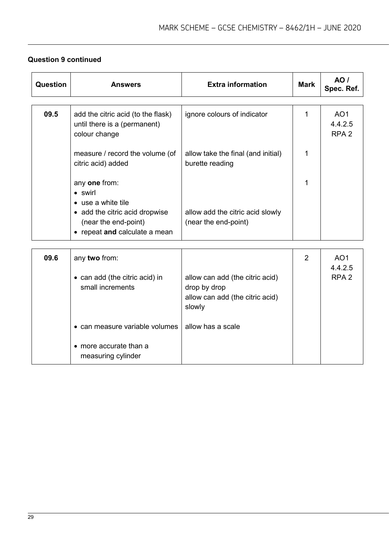# **Question 9 continued**

| <b>Question</b> | <b>Answers</b>                                                                          | <b>Extra information</b>                                                                     | <b>Mark</b> | <b>AO</b> /<br>Spec. Ref.                      |
|-----------------|-----------------------------------------------------------------------------------------|----------------------------------------------------------------------------------------------|-------------|------------------------------------------------|
| 09.5            | add the citric acid (to the flask)<br>until there is a (permanent)<br>colour change     | ignore colours of indicator                                                                  | 1           | AO <sub>1</sub><br>4.4.2.5<br>RPA <sub>2</sub> |
|                 | measure / record the volume (of<br>citric acid) added                                   | allow take the final (and initial)<br>burette reading                                        | 1           |                                                |
|                 | any one from:<br>• swirl<br>• use a white tile                                          |                                                                                              | 1           |                                                |
|                 | • add the citric acid dropwise<br>(near the end-point)<br>• repeat and calculate a mean | allow add the citric acid slowly<br>(near the end-point)                                     |             |                                                |
|                 |                                                                                         |                                                                                              |             |                                                |
| 09.6            | any two from:<br>• can add (the citric acid) in<br>small increments                     | allow can add (the citric acid)<br>drop by drop<br>allow can add (the citric acid)<br>slowly | 2           | AO <sub>1</sub><br>4.4.2.5<br>RPA <sub>2</sub> |
|                 | • can measure variable volumes<br>• more accurate than a                                | allow has a scale                                                                            |             |                                                |
|                 | measuring cylinder                                                                      |                                                                                              |             |                                                |